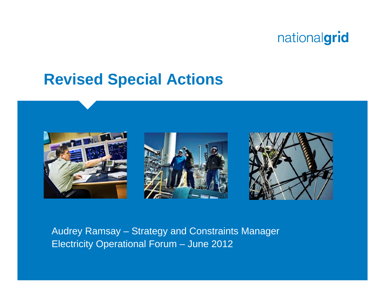

## **Revised Special Actions**



Audrey Ramsay – Strategy and Constraints Manager Electricity Operational Forum – June 2012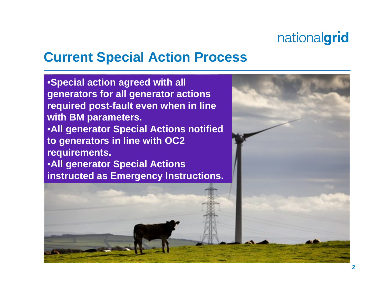### **Current Special Action Process**

•**Special action agreed with all generators for all generator actions required post-fault even when in line with BM parameters.** •**All generator Special Actions notified to generators in line with OC2 requirements.** •**All generator Special Actions instructed as Emergency Instructions.**

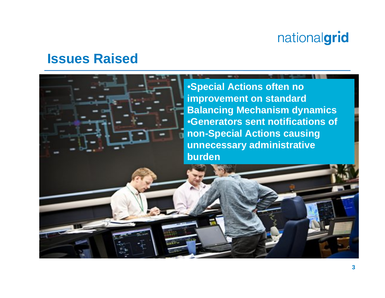#### **Issues Raised**

•**Special Actions often no improvement on standard Balancing Mechanism dynamics** •**Generators sent notifications of non-Special Actions causing unnecessary administrative burden**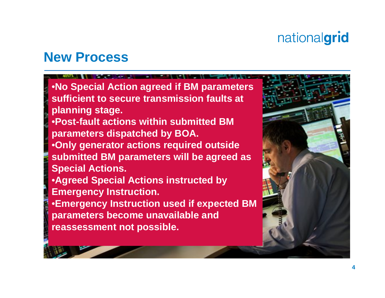#### **New Process**

•**No Special Action agreed if BM parameters sufficient to secure transmission faults at planning stage.** •**Post-fault actions within submitted BM parameters dispatched by BOA.** •**Only generator actions required outside submitted BM parameters will be agreed as Special Actions.** •**Agreed Special Actions instructed by Emergency Instruction.**  •**Emergency Instruction used if expected BM parameters become unavailable and reassessment not possible.**